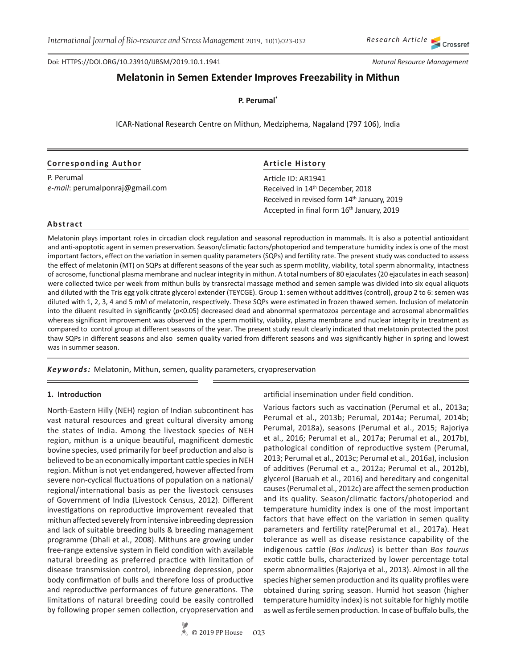Crossref

Doi: HTTPS://DOI.ORG/10.23910/IJBSM/2019.10.1.1941

*Natural Resource Management*

# **Melatonin in Semen Extender Improves Freezability in Mithun**

**P. Perumal\***

ICAR-National Research Centre on Mithun, Medziphema, Nagaland (797 106), India

## **Corresponding Author**

P. Perumal *e-mail*: perumalponraj@gmail.com

# **Article History**

Article ID: AR1941 Received in 14th December, 2018 Received in revised form 14th January, 2019 Accepted in final form 16<sup>th</sup> January, 2019

#### **Abstract**

Melatonin plays important roles in circadian clock regulation and seasonal reproduction in mammals. It is also a potential antioxidant and anti-apoptotic agent in semen preservation. Season/climatic factors/photoperiod and temperature humidity index is one of the most important factors, effect on the variation in semen quality parameters (SQPs) and fertility rate. The present study was conducted to assess the effect of melatonin (MT) on SQPs at different seasons of the year such as sperm motility, viability, total sperm abnormality, intactness of acrosome, functional plasma membrane and nuclear integrity in mithun. A total numbers of 80 ejaculates (20 ejaculates in each season) were collected twice per week from mithun bulls by transrectal massage method and semen sample was divided into six equal aliquots and diluted with the Tris egg yolk citrate glycerol extender (TEYCGE). Group 1: semen without additives (control), group 2 to 6: semen was diluted with 1, 2, 3, 4 and 5 mM of melatonin, respectively. These SQPs were estimated in frozen thawed semen. Inclusion of melatonin into the diluent resulted in significantly (*p*<0.05) decreased dead and abnormal spermatozoa percentage and acrosomal abnormalities whereas significant improvement was observed in the sperm motility, viability, plasma membrane and nuclear integrity in treatment as compared to control group at different seasons of the year. The present study result clearly indicated that melatonin protected the post thaw SQPs in different seasons and also semen quality varied from different seasons and was significantly higher in spring and lowest was in summer season.

*Keywords:* Melatonin, Mithun, semen, quality parameters, cryopreservation

#### **1. Introduction**

North-Eastern Hilly (NEH) region of Indian subcontinent has vast natural resources and great cultural diversity among the states of India. Among the livestock species of NEH region, mithun is a unique beautiful, magnificent domestic bovine species, used primarily for beef production and also is believed to be an economically important cattle species in NEH region. Mithun is not yet endangered, however affected from severe non-cyclical fluctuations of population on a national/ regional/international basis as per the livestock censuses of Government of India (Livestock Census, 2012). Different investigations on reproductive improvement revealed that mithun affected severely from intensive inbreeding depression and lack of suitable breeding bulls & breeding management programme (Dhali et al., 2008). Mithuns are growing under free-range extensive system in field condition with available natural breeding as preferred practice with limitation of disease transmission control, inbreeding depression, poor body confirmation of bulls and therefore loss of productive and reproductive performances of future generations. The limitations of natural breeding could be easily controlled by following proper semen collection, cryopreservation and artificial insemination under field condition.

Various factors such as vaccination (Perumal et al., 2013a; Perumal et al., 2013b; Perumal, 2014a; Perumal, 2014b; Perumal, 2018a), seasons (Perumal et al., 2015; Rajoriya et al., 2016; Perumal et al., 2017a; Perumal et al., 2017b), pathological condition of reproductive system (Perumal, 2013; Perumal et al., 2013c; Perumal et al., 2016a), inclusion of additives (Perumal et a., 2012a; Perumal et al., 2012b), glycerol (Baruah et al., 2016) and hereditary and congenital causes (Perumal et al., 2012c) are affect the semen production and its quality. Season/climatic factors/photoperiod and temperature humidity index is one of the most important factors that have effect on the variation in semen quality parameters and fertility rate(Perumal et al., 2017a). Heat tolerance as well as disease resistance capability of the indigenous cattle (*Bos indicus*) is better than *Bos taurus*  exotic cattle bulls, characterized by lower percentage total sperm abnormalities (Rajoriya et al., 2013). Almost in all the species higher semen production and its quality profiles were obtained during spring season. Humid hot season (higher temperature humidity index) is not suitable for highly motile as well as fertile semen production. In case of buffalo bulls, the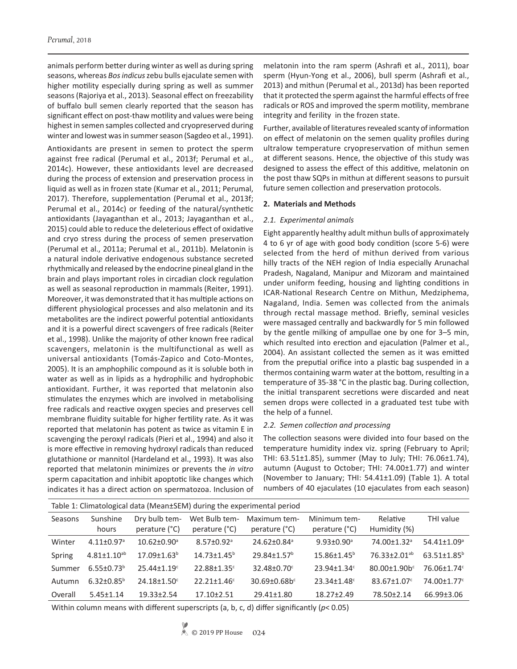animals perform better during winter as well as during spring seasons, whereas *Bos indicus* zebu bulls ejaculate semen with higher motility especially during spring as well as summer seasons (Rajoriya et al., 2013). Seasonal effect on freezability of buffalo bull semen clearly reported that the season has significant effect on post-thaw motility and values were being highest in semen samples collected and cryopreserved during winter and lowest was in summer season (Sagdeo et al., 1991).

Antioxidants are present in semen to protect the sperm against free radical (Perumal et al., 2013f; Perumal et al., 2014c). However, these antioxidants level are decreased during the process of extension and preservation process in liquid as well as in frozen state (Kumar et al., 2011; Perumal, 2017). Therefore, supplementation (Perumal et al., 2013f; Perumal et al., 2014c) or feeding of the natural/synthetic antioxidants (Jayaganthan et al., 2013; Jayaganthan et al., 2015) could able to reduce the deleterious effect of oxidative and cryo stress during the process of semen preservation (Perumal et al., 2011a; Perumal et al., 2011b). Melatonin is a natural indole derivative endogenous substance secreted rhythmically and released by the endocrine pineal gland in the brain and plays important roles in circadian clock regulation as well as seasonal reproduction in mammals (Reiter, 1991). Moreover, it was demonstrated that it has multiple actions on different physiological processes and also melatonin and its metabolites are the indirect powerful potential antioxidants and it is a powerful direct scavengers of free radicals (Reiter et al., 1998). Unlike the majority of other known free radical scavengers, melatonin is the multifunctional as well as universal antioxidants (Tomás-Zapico and Coto-Montes, 2005). It is an amphophilic compound as it is soluble both in water as well as in lipids as a hydrophilic and hydrophobic antioxidant. Further, it was reported that melatonin also stimulates the enzymes which are involved in metabolising free radicals and reactive oxygen species and preserves cell membrane fluidity suitable for higher fertility rate. As it was reported that melatonin has potent as twice as vitamin E in scavenging the peroxyl radicals (Pieri et al., 1994) and also it is more effective in removing hydroxyl radicals than reduced glutathione or mannitol (Hardeland et al., 1993). It was also reported that melatonin minimizes or prevents the *in vitro* sperm capacitation and inhibit apoptotic like changes which indicates it has a direct action on spermatozoa. Inclusion of

melatonin into the ram sperm (Ashrafi et al., 2011), boar sperm (Hyun-Yong et al., 2006), bull sperm (Ashrafi et al., 2013) and mithun (Perumal et al., 2013d) has been reported that it protected the sperm against the harmful effects of free radicals or ROS and improved the sperm motility, membrane integrity and ferility in the frozen state.

Further, available of literatures revealed scanty of information on effect of melatonin on the semen quality profiles during ultralow temperature cryopreservation of mithun semen at different seasons. Hence, the objective of this study was designed to assess the effect of this additive, melatonin on the post thaw SQPs in mithun at different seasons to pursuit future semen collection and preservation protocols.

#### **2. Materials and Methods**

#### *2.1. Experimental animals*

Eight apparently healthy adult mithun bulls of approximately 4 to 6 yr of age with good body condition (score 5-6) were selected from the herd of mithun derived from various hilly tracts of the NEH region of India especially Arunachal Pradesh, Nagaland, Manipur and Mizoram and maintained under uniform feeding, housing and lighting conditions in ICAR-National Research Centre on Mithun, Medziphema, Nagaland, India. Semen was collected from the animals through rectal massage method. Briefly, seminal vesicles were massaged centrally and backwardly for 5 min followed by the gentle milking of ampullae one by one for 3–5 min, which resulted into erection and ejaculation (Palmer et al., 2004). An assistant collected the semen as it was emitted from the preputial orifice into a plastic bag suspended in a thermos containing warm water at the bottom, resulting in a temperature of 35-38 °C in the plastic bag. During collection, the initial transparent secretions were discarded and neat semen drops were collected in a graduated test tube with the help of a funnel.

#### *2.2. Semen collection and processing*

The collection seasons were divided into four based on the temperature humidity index viz. spring (February to April; THI: 63.51±1.85), summer (May to July; THI: 76.06±1.74), autumn (August to October; THI: 74.00±1.77) and winter (November to January; THI: 54.41±1.09) (Table 1). A total numbers of 40 ejaculates (10 ejaculates from each season)

| Table 1: Climatological data (Mean±SEM) during the experimental period |                      |                                |                                |                               |                               |                               |                               |  |
|------------------------------------------------------------------------|----------------------|--------------------------------|--------------------------------|-------------------------------|-------------------------------|-------------------------------|-------------------------------|--|
| Seasons                                                                | Sunshine<br>hours    | Dry bulb tem-<br>perature (°C) | Wet Bulb tem-<br>perature (°C) | Maximum tem-<br>perature (°C) | Minimum tem-<br>perature (°C) | Relative<br>Humidity (%)      | THI value                     |  |
| Winter                                                                 | $4.11+0.97a$         | $10.62 + 0.90$ <sup>a</sup>    | $8.57 + 0.92$ <sup>a</sup>     | $24.62 \pm 0.84$ <sup>a</sup> | $9.93 \pm 0.90$ <sup>a</sup>  | 74.00±1.32 <sup>a</sup>       | $54.41 \pm 1.09$ <sup>a</sup> |  |
| Spring                                                                 | $4.81 \pm 1.10^{ab}$ | $17.09 \pm 1.63^b$             | $14.73 + 1.45^b$               | $29.84 + 1.57$ <sup>b</sup>   | $15.86 \pm 1.45^b$            | $76.33 + 2.01^{ab}$           | $63.51 \pm 1.85^b$            |  |
| Summer                                                                 | $6.55 \pm 0.73^b$    | $25.44 \pm 1.19$ <sup>c</sup>  | 22.88±1.35°                    | $32.48 \pm 0.70^{\circ}$      | 23.94±1.34°                   | $80.00 \pm 1.90 b^c$          | 76.06±1.74°                   |  |
| Autumn                                                                 | $6.32 + 0.85^b$      | $24.18 \pm 1.50$ <sup>c</sup>  | $22.21 \pm 1.46$ <sup>c</sup>  | $30.69 \pm 0.68 b^c$          | 23.34±1.48 <sup>c</sup>       | $83.67 \pm 1.07$ <sup>c</sup> | 74.00±1.77 <sup>c</sup>       |  |
| Overall                                                                | $5.45 \pm 1.14$      | $19.33 \pm 2.54$               | $17.10 \pm 2.51$               | $29.41 \pm 1.80$              | $18.27 \pm 2.49$              | 78.50±2.14                    | 66.99±3.06                    |  |

Within column means with different superscripts (a, b, c, d) differ significantly (*p*< 0.05)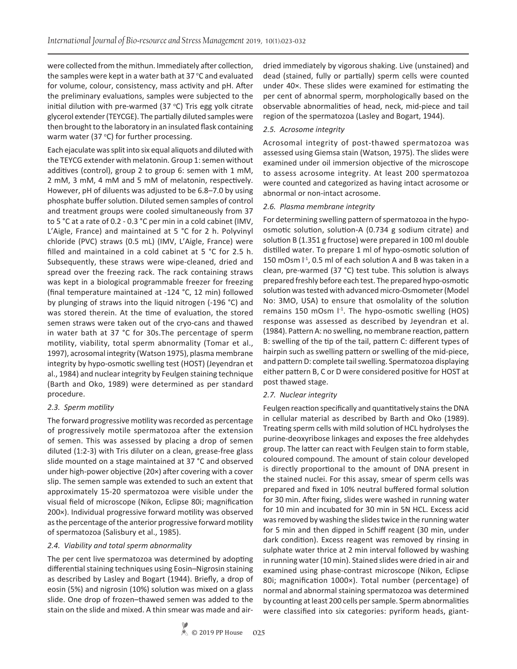were collected from the mithun. Immediately after collection, the samples were kept in a water bath at 37 °C and evaluated for volume, colour, consistency, mass activity and pH. After the preliminary evaluations, samples were subjected to the initial dilution with pre-warmed (37  $\degree$ C) Tris egg yolk citrate glycerol extender (TEYCGE). The partially diluted samples were then brought to the laboratory in an insulated flask containing warm water (37 $\degree$ C) for further processing.

Each ejaculate was split into six equal aliquots and diluted with the TEYCG extender with melatonin. Group 1: semen without additives (control), group 2 to group 6: semen with 1 mM, 2 mM, 3 mM, 4 mM and 5 mM of melatonin, respectively. However, pH of diluents was adjusted to be 6.8–7.0 by using phosphate buffer solution. Diluted semen samples of control and treatment groups were cooled simultaneously from 37 to 5 °C at a rate of 0.2 - 0.3 °C per min in a cold cabinet (IMV, L'Aigle, France) and maintained at 5 °C for 2 h. Polyvinyl chloride (PVC) straws (0.5 mL) (IMV, L'Aigle, France) were filled and maintained in a cold cabinet at 5 °C for 2.5 h. Subsequently, these straws were wipe-cleaned, dried and spread over the freezing rack. The rack containing straws was kept in a biological programmable freezer for freezing (final temperature maintained at -124 °C, 12 min) followed by plunging of straws into the liquid nitrogen (-196 °C) and was stored therein. At the time of evaluation, the stored semen straws were taken out of the cryo-cans and thawed in water bath at 37 °C for 30s.The percentage of sperm motility, viability, total sperm abnormality (Tomar et al., 1997), acrosomal integrity (Watson 1975), plasma membrane integrity by hypo-osmotic swelling test (HOST) (Jeyendran et al., 1984) and nuclear integrity by Feulgen staining technique (Barth and Oko, 1989) were determined as per standard procedure.

## *2.3. Sperm motility*

The forward progressive motility was recorded as percentage of progressively motile spermatozoa after the extension of semen. This was assessed by placing a drop of semen diluted (1:2-3) with Tris diluter on a clean, grease-free glass slide mounted on a stage maintained at 37 °C and observed under high-power objective (20×) after covering with a cover slip. The semen sample was extended to such an extent that approximately 15-20 spermatozoa were visible under the visual field of microscope (Nikon, Eclipse 80i; magnification 200×). Individual progressive forward motility was observed as the percentage of the anterior progressive forward motility of spermatozoa (Salisbury et al., 1985).

## *2.4. Viability and total sperm abnormality*

The per cent live spermatozoa was determined by adopting differential staining techniques using Eosin–Nigrosin staining as described by Lasley and Bogart (1944). Briefly, a drop of eosin (5%) and nigrosin (10%) solution was mixed on a glass slide. One drop of frozen–thawed semen was added to the stain on the slide and mixed. A thin smear was made and airdried immediately by vigorous shaking. Live (unstained) and dead (stained, fully or partially) sperm cells were counted under 40×. These slides were examined for estimating the per cent of abnormal sperm, morphologically based on the observable abnormalities of head, neck, mid-piece and tail region of the spermatozoa (Lasley and Bogart, 1944).

## *2.5. Acrosome integrity*

Acrosomal integrity of post-thawed spermatozoa was assessed using Giemsa stain (Watson, 1975). The slides were examined under oil immersion objective of the microscope to assess acrosome integrity. At least 200 spermatozoa were counted and categorized as having intact acrosome or abnormal or non-intact acrosome.

## *2.6. Plasma membrane integrity*

For determining swelling pattern of spermatozoa in the hypoosmotic solution, solution-A (0.734 g sodium citrate) and solution B (1.351 g fructose) were prepared in 100 ml double distilled water. To prepare 1 ml of hypo-osmotic solution of 150 mOsm  $I<sup>-1</sup>$ , 0.5 ml of each solution A and B was taken in a clean, pre-warmed (37 °C) test tube. This solution is always prepared freshly before each test. The prepared hypo-osmotic solution was tested with advanced micro-Osmometer (Model No: 3MO, USA) to ensure that osmolality of the solution remains 150 mOsm  $I<sup>-1</sup>$ . The hypo-osmotic swelling (HOS) response was assessed as described by Jeyendran et al. (1984). Pattern A: no swelling, no membrane reaction, pattern B: swelling of the tip of the tail, pattern C: different types of hairpin such as swelling pattern or swelling of the mid-piece, and pattern D: complete tail swelling. Spermatozoa displaying either pattern B, C or D were considered positive for HOST at post thawed stage.

# *2.7. Nuclear integrity*

Feulgen reaction specifically and quantitatively stains the DNA in cellular material as described by Barth and Oko (1989). Treating sperm cells with mild solution of HCL hydrolyses the purine-deoxyribose linkages and exposes the free aldehydes group. The latter can react with Feulgen stain to form stable, coloured compound. The amount of stain colour developed is directly proportional to the amount of DNA present in the stained nuclei. For this assay, smear of sperm cells was prepared and fixed in 10% neutral buffered formal solution for 30 min. After fixing, slides were washed in running water for 10 min and incubated for 30 min in 5N HCL. Excess acid was removed by washing the slides twice in the running water for 5 min and then dipped in Schiff reagent (30 min, under dark condition). Excess reagent was removed by rinsing in sulphate water thrice at 2 min interval followed by washing in running water (10 min). Stained slides were dried in air and examined using phase-contrast microscope (Nikon, Eclipse 80i; magnification 1000×). Total number (percentage) of normal and abnormal staining spermatozoa was determined by counting at least 200 cells per sample. Sperm abnormalities were classified into six categories: pyriform heads, giant-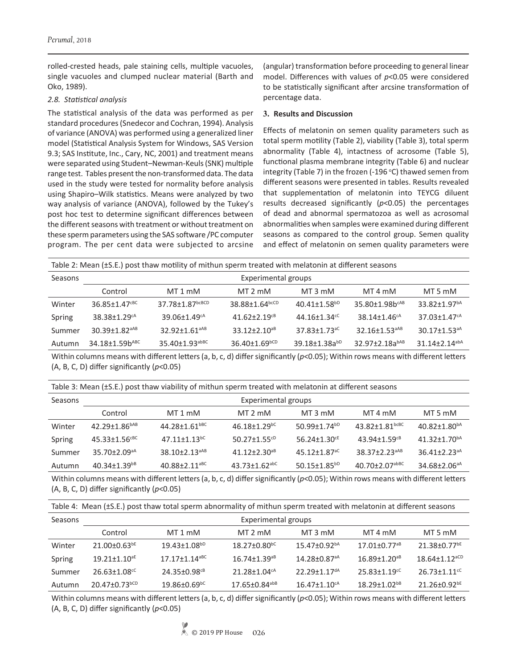rolled-crested heads, pale staining cells, multiple vacuoles, single vacuoles and clumped nuclear material (Barth and Oko, 1989).

#### *2.8. Statistical analysis*

The statistical analysis of the data was performed as per standard procedures (Snedecor and Cochran, 1994). Analysis of variance (ANOVA) was performed using a generalized liner model (Statistical Analysis System for Windows, SAS Version 9.3; SAS Institute, Inc., Cary, NC, 2001) and treatment means were separated using Student–Newman-Keuls (SNK) multiple range test. Tables present the non-transformed data. The data used in the study were tested for normality before analysis using Shapiro–Wilk statistics. Means were analyzed by two way analysis of variance (ANOVA), followed by the Tukey's post hoc test to determine significant differences between the different seasons with treatment or without treatment on these sperm parameters using the SAS software /PC computer program. The per cent data were subjected to arcsine

(angular) transformation before proceeding to general linear model. Differences with values of *p*<0.05 were considered to be statistically significant after arcsine transformation of percentage data.

#### **3. Results and Discussion**

Effects of melatonin on semen quality parameters such as total sperm motility (Table 2), viability (Table 3), total sperm abnormality (Table 4), intactness of acrosome (Table 5), functional plasma membrane integrity (Table 6) and nuclear integrity (Table 7) in the frozen (-196  $°C$ ) thawed semen from different seasons were presented in tables. Results revealed that supplementation of melatonin into TEYCG diluent results decreased significantly (*p*<0.05) the percentages of dead and abnormal spermatozoa as well as acrosomal abnormalities when samples were examined during different seasons as compared to the control group. Semen quality and effect of melatonin on semen quality parameters were

| Table 2: Mean (±S.E.) post thaw motility of mithun sperm treated with melatonin at different seasons |                                |                                |                                 |                                |                                |                                 |  |  |
|------------------------------------------------------------------------------------------------------|--------------------------------|--------------------------------|---------------------------------|--------------------------------|--------------------------------|---------------------------------|--|--|
| Seasons                                                                                              | Experimental groups            |                                |                                 |                                |                                |                                 |  |  |
|                                                                                                      | Control                        | $MT1$ mM                       | $MT 2$ mM                       | MT 3 mM                        | MT 4 mM                        | MT 5 mM                         |  |  |
| Winter                                                                                               | 36.85+1.47CBC                  | 37.78±1.87bcBCD                | 38.88±1.64bcCD                  | $40.41 \pm 1.58^{bD}$          | 35.80±1.98b <sup>cAB</sup>     | $33.82 \pm 1.97$ <sup>bA</sup>  |  |  |
| Spring                                                                                               | $38.38 \pm 1.29$ <sup>cA</sup> | $39.06 \pm 1.49$ <sup>cA</sup> | $41.62 + 2.19$ <sup>cB</sup>    | $44.16 \pm 1.34$ <sup>cC</sup> | $38.14 \pm 1.46$ <sup>cA</sup> | $37.03 + 1.47$ <sup>cA</sup>    |  |  |
| Summer                                                                                               | $30.39 + 1.82$ <sup>aAB</sup>  | 32.92+1.61 <sup>aAB</sup>      | $33.12 + 2.10^{a}$              | $37.83 + 1.73$ <sup>aC</sup>   | 32.16+1.53 <sup>aAB</sup>      | $30.17 + 1.53$ <sup>aA</sup>    |  |  |
| Autumn                                                                                               | $34.18 \pm 1.59 b^{ABC}$       | $35.40 \pm 1.93$ abBC          | $36.40 \pm 1.69$ <sub>bCD</sub> | 39.18±1.38abD                  | $32.97 \pm 2.18a^{bAB}$        | $31.14 \pm 2.14$ <sup>abA</sup> |  |  |

Within columns means with different letters (a, b, c, d) differ significantly ( $p$ <0.05); Within rows means with different letters (A, B, C, D) differ significantly (*p*<0.05)

| Table 3: Mean (±S.E.) post thaw viability of mithun sperm treated with melatonin at different seasons |
|-------------------------------------------------------------------------------------------------------|
|-------------------------------------------------------------------------------------------------------|

| Seasons | Experimental groups             |                                |                                 |                                |                                |                                |  |
|---------|---------------------------------|--------------------------------|---------------------------------|--------------------------------|--------------------------------|--------------------------------|--|
|         | Control                         | MT 1 mM                        | MT 2 mM                         | $MT3$ mM                       | MT 4 mM                        | MT 5 mM                        |  |
| Winter  | $42.29 \pm 1.86^{bAB}$          | $44.28 + 1.61$ <sup>bBC</sup>  | $46.18 + 1.29$ <sup>bC</sup>    | $50.99 + 1.74^{b}$             | 43.82+1.81 $b$ cBC             | $40.82 \pm 1.80^{bA}$          |  |
| Spring  | $45.33 \pm 1.56$ <sup>cBC</sup> | $47.11 \pm 1.13$ <sup>bC</sup> | $50.27 \pm 1.55$ <sup>cD</sup>  | $56.24 \pm 1.30$ <sup>cE</sup> | $43.94 + 1.59$ <sup>cB</sup>   | $41.32 \pm 1.70^{bA}$          |  |
| Summer  | $35.70 \pm 2.09$ <sup>aA</sup>  | $38.10 + 2.13^{aAB}$           | $41.12 + 2.30$ <sup>aB</sup>    | $45.12 + 1.87$ <sup>aC</sup>   | 38.37+2.23 <sup>aAB</sup>      | $36.41 + 2.23$ <sup>aA</sup>   |  |
| Autumn  | $40.34 \pm 1.39^{b}$            | $40.88 + 2.11$ <sup>aBC</sup>  | $43.73 \pm 1.62$ <sup>abC</sup> | $50.15 + 1.85^{b}$             | $40.70 + 2.07$ <sup>abBC</sup> | $34.68 \pm 2.06$ <sup>aA</sup> |  |

Within columns means with different letters (a, b, c, d) differ significantly (*p*<0.05); Within rows means with different letters (A, B, C, D) differ significantly (*p*<0.05)

|  |  | Table 4: Mean (±S.E.) post thaw total sperm abnormality of mithun sperm treated with melatonin at different seasons |  |
|--|--|---------------------------------------------------------------------------------------------------------------------|--|
|--|--|---------------------------------------------------------------------------------------------------------------------|--|

| Seasons | Experimental groups             |                               |                                 |                                |                                |                                 |  |  |
|---------|---------------------------------|-------------------------------|---------------------------------|--------------------------------|--------------------------------|---------------------------------|--|--|
|         | Control                         | MT 1 mM                       | MT 2 mM                         | MT 3 mM                        | MT 4 mM                        | MT 5 mM                         |  |  |
| Winter  | $21.00\pm0.63^{bE}$             | $19.43 \pm 1.08^{bD}$         | $18.27 \pm 0.80$ <sup>bC</sup>  | $15.47 + 0.92bA$               | $17.01 \pm 0.77$ <sup>aB</sup> | $21.38 \pm 0.77$ <sup>bE</sup>  |  |  |
| Spring  | $19.21 \pm 1.10$ <sup>aE</sup>  | $17.17 + 1.14$ <sup>aBC</sup> | $16.74 \pm 1.39$ <sup>aB</sup>  | $14.28 \pm 0.87$ <sup>aA</sup> | $16.89 \pm 1.20$ <sup>aB</sup> | $18.64 \pm 1.12$ <sup>aCD</sup> |  |  |
| Summer  | $26.63 \pm 1.08$ <sup>cC</sup>  | 24.35+0.98 <sup>cB</sup>      | $21.28 \pm 1.04$ <sup>cA</sup>  | 22.29+1.17 <sup>dA</sup>       | $25.83 + 1.19$ <sup>cC</sup>   | $26.73 + 1.11$ <sup>cC</sup>    |  |  |
| Autumn  | $20.47 \pm 0.73$ <sup>bCD</sup> | $19.86\pm0.69^{\mathrm{bC}}$  | $17.65 \pm 0.84$ <sup>abB</sup> | $16.47 \pm 1.10$ <sup>cA</sup> | $18.29 + 1.02^{b}$             | $21.26 \pm 0.92$ <sup>bE</sup>  |  |  |

Within columns means with different letters (a, b, c, d) differ significantly (*p*<0.05); Within rows means with different letters (A, B, C, D) differ significantly (*p*<0.05)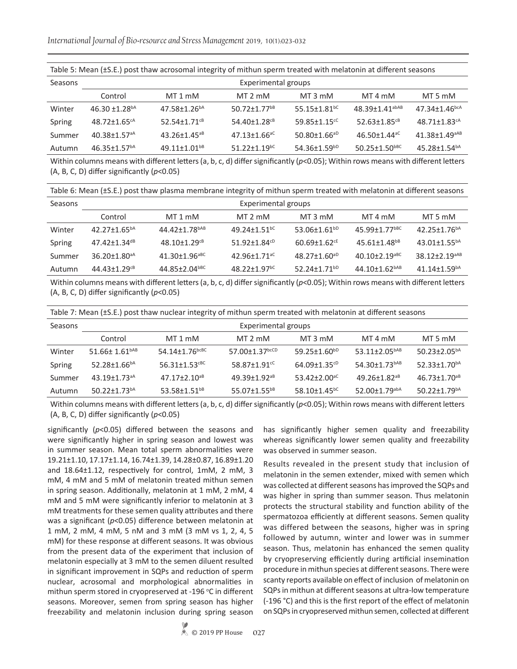*International Journal of Bio-resource and Stress Management* 2019, 10(1):023-032

|         | Table 5: Mean (±S.E.) post thaw acrosomal integrity of mithun sperm treated with melatonin at different seasons |                                |                                |                                |                                 |                                 |  |  |
|---------|-----------------------------------------------------------------------------------------------------------------|--------------------------------|--------------------------------|--------------------------------|---------------------------------|---------------------------------|--|--|
| Seasons | <b>Experimental groups</b>                                                                                      |                                |                                |                                |                                 |                                 |  |  |
|         | Control                                                                                                         | $MT1$ mM                       | MT 2 mM                        | MT 3 mM                        | MT 4 mM                         | MT 5 mM                         |  |  |
| Winter  | 46.30 $\pm$ 1.28 <sup>bA</sup>                                                                                  | $47.58 + 1.26^{bA}$            | $50.72 + 1.77$ <sup>bB</sup>   | 55.15+1.81 <sup>bC</sup>       | 48.39+1.41 <sup>abAB</sup>      | $47.34 \pm 1.46$ <sub>bcA</sub> |  |  |
| Spring  | $48.72 \pm 1.65$ <sup>cA</sup>                                                                                  | 52.54+1.71 $^{CB}$             | 54.40±1.28 <sup>cB</sup>       | 59.85 $\pm$ 1.15 <sup>cC</sup> | $52.63 \pm 1.85$ <sup>cB</sup>  | $48.71 \pm 1.83$ <sup>cA</sup>  |  |  |
| Summer  | $40.38 \pm 1.57$ <sup>aA</sup>                                                                                  | $43.26 \pm 1.45$ <sup>aB</sup> | $47.13 \pm 1.66$ <sup>aC</sup> | $50.80 \pm 1.66$ <sup>aD</sup> | $46.50 \pm 1.44$ <sup>aC</sup>  | $41.38 \pm 1.49$ <sup>aAB</sup> |  |  |
| Autumn  | $46.35 \pm 1.57^{bA}$                                                                                           | $49.11 \pm 1.01^{b}$           | $51.22 \pm 1.19$ <sup>bC</sup> | $54.36 \pm 1.59^{bD}$          | $50.25 \pm 1.50$ <sup>bBC</sup> | $45.28 \pm 1.54^{bA}$           |  |  |

Within columns means with different letters (a, b, c, d) differ significantly (*p*<0.05); Within rows means with different letters (A, B, C, D) differ significantly (*p*<0.05)

Table 6: Mean (±S.E.) post thaw plasma membrane integrity of mithun sperm treated with melatonin at different seasons

| Seasons | Experimental groups            |                                 |                                |                              |                                |                                |  |
|---------|--------------------------------|---------------------------------|--------------------------------|------------------------------|--------------------------------|--------------------------------|--|
|         | Control                        | MT 1 mM                         | MT 2 mM                        | MT 3 mM                      | MT 4 mM                        | MT 5 mM                        |  |
| Winter  | $42.27 \pm 1.65^{bA}$          | $44.42 \pm 1.78$ <sup>bAB</sup> | 49.24+1.51 <sup>bC</sup>       | 53.06±1.61bD                 | 45.99+1.77bBC                  | $42.25 \pm 1.76$ <sup>bA</sup> |  |
| Spring  | $47.42 \pm 1.34$ <sup>dB</sup> | $48.10 + 1.29$ <sup>cB</sup>    | $51.92 \pm 1.84^{cD}$          | $60.69 + 1.62$ <sup>cE</sup> | $45.61 \pm 1.48$ <sup>bB</sup> | $43.01+1.55^{bA}$              |  |
| Summer  | $36.20 \pm 1.80$ <sup>aA</sup> | $41.30 + 1.96$ <sup>aBC</sup>   | 42.96+1.71 <sup>aC</sup>       | $48.27 + 1.60^{aD}$          | $40.10 + 2.19$ <sup>aBC</sup>  | $38.12 + 2.19^{aAB}$           |  |
| Autumn  | $44.43+1.29^{c}$               | 44.85+2.04bBC                   | $48.22 \pm 1.97$ <sup>bC</sup> | 52.24+1.71 <sup>bD</sup>     | 44.10±1.62 <sup>bAB</sup>      | $41.14 + 1.59$ <sup>bA</sup>   |  |

Within columns means with different letters (a, b, c, d) differ significantly ( $p$ <0.05); Within rows means with different letters (A, B, C, D) differ significantly (*p*<0.05)

| Seasons | Experimental groups            |                                  |                              |                                |                                 |                                |  |  |
|---------|--------------------------------|----------------------------------|------------------------------|--------------------------------|---------------------------------|--------------------------------|--|--|
|         | Control                        | MT 1 mM                          | $MT 2$ mM                    | MT 3 mM                        | MT 4 mM                         | MT 5 mM                        |  |  |
| Winter  | $51.66 \pm 1.61^{bAB}$         | $54.14 \pm 1.76$ <sub>bcBC</sub> | 57.00 $\pm$ 1.37bcCD         | 59.25 $\pm$ 1.60 <sup>bD</sup> | 53.11±2.05 <sup>bAB</sup>       | 50.23±2.05 <sup>bA</sup>       |  |  |
| Spring  | 52.28 $\pm$ 1.66 <sup>bA</sup> | $56.31 \pm 1.53$ <sup>cBC</sup>  | $58.87 + 1.91$ <sup>cC</sup> | $64.09 \pm 1.35$ <sup>cD</sup> | 54.30±1.73 <sup>bAB</sup>       | 52.33±1.70 <sup>bA</sup>       |  |  |
| Summer  | $43.19 + 1.73$ <sup>aA</sup>   | $47.17 + 2.10^{a}$               | $49.39 + 1.92$ <sup>aB</sup> | 53.42+2.00 <sup>aC</sup>       | $49.26 \pm 1.82$ <sup>aB</sup>  | $46.73 \pm 1.70$ <sup>aB</sup> |  |  |
| Autumn  | $50.22 \pm 1.73$ <sup>bA</sup> | 53.58+1.51 <sup>bB</sup>         | 55.07+1.55 <sup>bB</sup>     | $58.10 + 1.45$ <sup>bC</sup>   | $52.00 \pm 1.79$ <sup>abA</sup> | $50.22 \pm 1.79$ <sup>bA</sup> |  |  |

Within columns means with different letters (a, b, c, d) differ significantly (*p*<0.05); Within rows means with different letters (A, B, C, D) differ significantly (*p*<0.05)

significantly (*p*<0.05) differed between the seasons and were significantly higher in spring season and lowest was in summer season. Mean total sperm abnormalities were 19.21±1.10, 17.17±1.14, 16.74±1.39, 14.28±0.87, 16.89±1.20 and 18.64±1.12, respectively for control, 1mM, 2 mM, 3 mM, 4 mM and 5 mM of melatonin treated mithun semen in spring season. Additionally, melatonin at 1 mM, 2 mM, 4 mM and 5 mM were significantly inferior to melatonin at 3 mM treatments for these semen quality attributes and there was a significant (*p*<0.05) difference between melatonin at 1 mM, 2 mM, 4 mM, 5 nM and 3 mM (3 mM vs 1, 2, 4, 5 mM) for these response at different seasons. It was obvious from the present data of the experiment that inclusion of melatonin especially at 3 mM to the semen diluent resulted in significant improvement in SQPs and reduction of sperm nuclear, acrosomal and morphological abnormalities in mithun sperm stored in cryopreserved at -196 °C in different seasons. Moreover, semen from spring season has higher freezability and melatonin inclusion during spring season

has significantly higher semen quality and freezability whereas significantly lower semen quality and freezability was observed in summer season.

Results revealed in the present study that inclusion of melatonin in the semen extender, mixed with semen which was collected at different seasons has improved the SQPs and was higher in spring than summer season. Thus melatonin protects the structural stability and function ability of the spermatozoa efficiently at different seasons. Semen quality was differed between the seasons, higher was in spring followed by autumn, winter and lower was in summer season. Thus, melatonin has enhanced the semen quality by cryopreserving efficiently during artificial insemination procedure in mithun species at different seasons. There were scanty reports available on effect of inclusion of melatonin on SQPs in mithun at different seasons at ultra-low temperature (-196 °C) and this is the first report of the effect of melatonin on SQPs in cryopreserved mithun semen, collected at different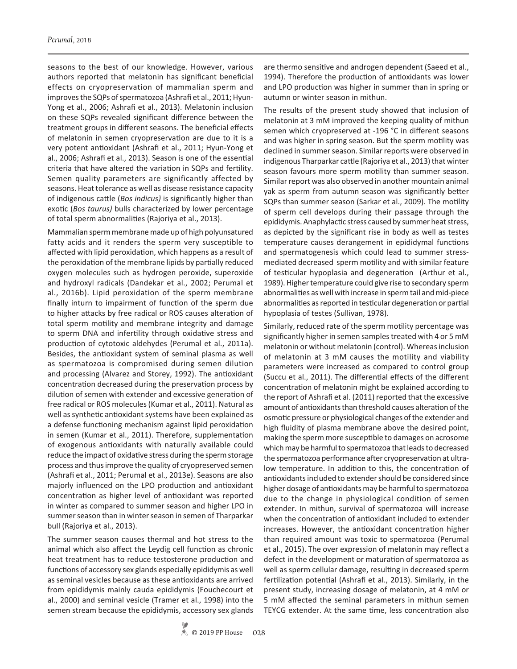seasons to the best of our knowledge. However, various authors reported that melatonin has significant beneficial effects on cryopreservation of mammalian sperm and improves the SQPs of spermatozoa (Ashrafi et al., 2011; Hyun-Yong et al., 2006; Ashrafi et al., 2013). Melatonin inclusion on these SQPs revealed significant difference between the treatment groups in different seasons. The beneficial effects of melatonin in semen cryopreservation are due to it is a very potent antioxidant (Ashrafi et al., 2011; Hyun-Yong et al., 2006; Ashrafi et al., 2013). Season is one of the essential criteria that have altered the variation in SQPs and fertility. Semen quality parameters are significantly affected by seasons. Heat tolerance as well as disease resistance capacity of indigenous cattle (*Bos indicus)* is significantly higher than exotic (*Bos taurus)* bulls characterized by lower percentage of total sperm abnormalities (Rajoriya et al., 2013).

Mammalian sperm membrane made up of high polyunsatured fatty acids and it renders the sperm very susceptible to affected with lipid peroxidation, which happens as a result of the peroxidation of the membrane lipids by partially reduced oxygen molecules such as hydrogen peroxide, superoxide and hydroxyl radicals (Dandekar et al., 2002; Perumal et al., 2016b). Lipid peroxidation of the sperm membrane finally inturn to impairment of function of the sperm due to higher attacks by free radical or ROS causes alteration of total sperm motility and membrane integrity and damage to sperm DNA and infertility through oxidative stress and production of cytotoxic aldehydes (Perumal et al., 2011a). Besides, the antioxidant system of seminal plasma as well as spermatozoa is compromised during semen dilution and processing (Alvarez and Storey, 1992). The antioxidant concentration decreased during the preservation process by dilution of semen with extender and excessive generation of free radical or ROS molecules (Kumar et al., 2011). Natural as well as synthetic antioxidant systems have been explained as a defense functioning mechanism against lipid peroxidation in semen (Kumar et al., 2011). Therefore, supplementation of exogenous antioxidants with naturally available could reduce the impact of oxidative stress during the sperm storage process and thus improve the quality of cryopreserved semen (Ashrafi et al., 2011; Perumal et al., 2013e). Seasons are also majorly influenced on the LPO production and antioxidant concentration as higher level of antioxidant was reported in winter as compared to summer season and higher LPO in summer season than in winter season in semen of Tharparkar bull (Rajoriya et al., 2013).

The summer season causes thermal and hot stress to the animal which also affect the Leydig cell function as chronic heat treatment has to reduce testosterone production and functions of accessory sex glands especially epididymis as well as seminal vesicles because as these antioxidants are arrived from epididymis mainly cauda epididymis (Fouchecourt et al., 2000) and seminal vesicle (Tramer et al., 1998) into the semen stream because the epididymis, accessory sex glands

are thermo sensitive and androgen dependent (Saeed et al., 1994). Therefore the production of antioxidants was lower and LPO production was higher in summer than in spring or autumn or winter season in mithun.

The results of the present study showed that inclusion of melatonin at 3 mM improved the keeping quality of mithun semen which cryopreserved at -196 °C in different seasons and was higher in spring season. But the sperm motility was declined in summer season. Similar reports were observed in indigenous Tharparkar cattle (Rajoriya et al., 2013) that winter season favours more sperm motility than summer season. Similar report was also observed in another mountain animal yak as sperm from autumn season was significantly better SQPs than summer season (Sarkar et al., 2009). The motility of sperm cell develops during their passage through the epididymis. Anaphylactic stress caused by summer heat stress, as depicted by the significant rise in body as well as testes temperature causes derangement in epididymal functions and spermatogenesis which could lead to summer stressmediated decreased sperm motility and with similar feature of testicular hypoplasia and degeneration (Arthur et al., 1989). Higher temperature could give rise to secondary sperm abnormalities as well with increase in sperm tail and mid-piece abnormalities as reported in testicular degeneration or partial hypoplasia of testes (Sullivan, 1978).

Similarly, reduced rate of the sperm motility percentage was significantly higher in semen samples treated with 4 or 5 mM melatonin or without melatonin (control). Whereas inclusion of melatonin at 3 mM causes the motility and viability parameters were increased as compared to control group (Succu et al., 2011). The differential effects of the different concentration of melatonin might be explained according to the report of Ashrafi et al. (2011) reported that the excessive amount of antioxidants than threshold causes alteration of the osmotic pressure or physiological changes of the extender and high fluidity of plasma membrane above the desired point, making the sperm more susceptible to damages on acrosome which may be harmful to spermatozoa that leads to decreased the spermatozoa performance after cryopreservation at ultralow temperature. In addition to this, the concentration of antioxidants included to extender should be considered since higher dosage of antioxidants may be harmful to spermatozoa due to the change in physiological condition of semen extender. In mithun, survival of spermatozoa will increase when the concentration of antioxidant included to extender increases. However, the antioxidant concentration higher than required amount was toxic to spermatozoa (Perumal et al., 2015). The over expression of melatonin may reflect a defect in the development or maturation of spermatozoa as well as sperm cellular damage, resulting in decreased sperm fertilization potential (Ashrafi et al., 2013). Similarly, in the present study, increasing dosage of melatonin, at 4 mM or 5 mM affected the seminal parameters in mithun semen TEYCG extender. At the same time, less concentration also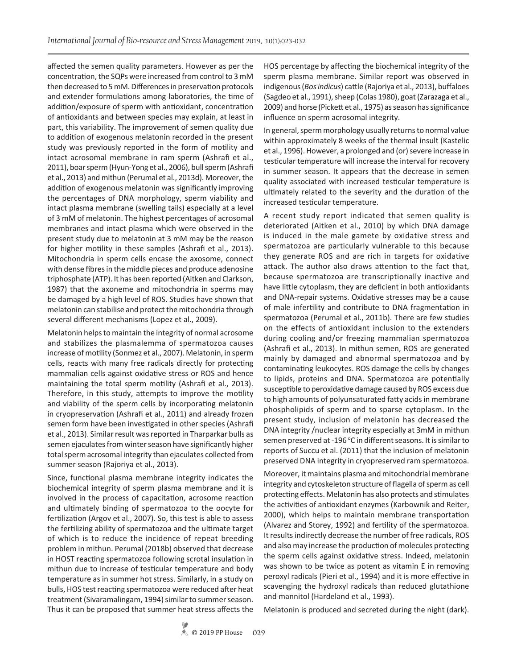affected the semen quality parameters. However as per the concentration, the SQPs were increased from control to 3 mM then decreased to 5 mM. Differences in preservation protocols and extender formulations among laboratories, the time of addition/exposure of sperm with antioxidant, concentration of antioxidants and between species may explain, at least in part, this variability. The improvement of semen quality due to addition of exogenous melatonin recorded in the present study was previously reported in the form of motility and intact acrosomal membrane in ram sperm (Ashrafi et al., 2011), boar sperm (Hyun-Yong et al., 2006), bull sperm (Ashrafi et al., 2013) and mithun (Perumal et al., 2013d). Moreover, the addition of exogenous melatonin was significantly improving the percentages of DNA morphology, sperm viability and intact plasma membrane (swelling tails) especially at a level of 3 mM of melatonin. The highest percentages of acrosomal membranes and intact plasma which were observed in the present study due to melatonin at 3 mM may be the reason for higher motility in these samples (Ashrafi et al., 2013). Mitochondria in sperm cells encase the axosome, connect with dense fibres in the middle pieces and produce adenosine triphosphate (ATP). It has been reported (Aitken and Clarkson, 1987) that the axoneme and mitochondria in sperms may be damaged by a high level of ROS. Studies have shown that melatonin can stabilise and protect the mitochondria through several different mechanisms (Lopez et al., 2009).

Melatonin helps to maintain the integrity of normal acrosome and stabilizes the plasmalemma of spermatozoa causes increase of motility (Sonmez et al., 2007). Melatonin, in sperm cells, reacts with many free radicals directly for protecting mammalian cells against oxidative stress or ROS and hence maintaining the total sperm motility (Ashrafi et al., 2013). Therefore, in this study, attempts to improve the motility and viability of the sperm cells by incorporating melatonin in cryopreservation (Ashrafi et al., 2011) and already frozen semen form have been investigated in other species (Ashrafi et al., 2013). Similar result was reported in Tharparkar bulls as semen ejaculates from winter season have significantly higher total sperm acrosomal integrity than ejaculates collected from summer season (Rajoriya et al., 2013).

Since, functional plasma membrane integrity indicates the biochemical integrity of sperm plasma membrane and it is involved in the process of capacitation, acrosome reaction and ultimately binding of spermatozoa to the oocyte for fertilization (Argov et al., 2007). So, this test is able to assess the fertilizing ability of spermatozoa and the ultimate target of which is to reduce the incidence of repeat breeding problem in mithun. Perumal (2018b) observed that decrease in HOST reacting spermatozoa following scrotal insulation in mithun due to increase of testicular temperature and body temperature as in summer hot stress. Similarly, in a study on bulls, HOS test reacting spermatozoa were reduced after heat treatment (Sivaramalingam, 1994) similar to summer season. Thus it can be proposed that summer heat stress affects the HOS percentage by affecting the biochemical integrity of the sperm plasma membrane. Similar report was observed in indigenous (*Bos indicus*) cattle (Rajoriya et al., 2013), buffaloes (Sagdeo et al., 1991), sheep (Colas 1980), goat (Zarazaga et al., 2009) and horse (Pickett et al., 1975) as season has significance influence on sperm acrosomal integrity.

In general, sperm morphology usually returns to normal value within approximately 8 weeks of the thermal insult (Kastelic et al., 1996). However, a prolonged and (or) severe increase in testicular temperature will increase the interval for recovery in summer season. It appears that the decrease in semen quality associated with increased testicular temperature is ultimately related to the severity and the duration of the increased testicular temperature.

A recent study report indicated that semen quality is deteriorated (Aitken et al., 2010) by which DNA damage is induced in the male gamete by oxidative stress and spermatozoa are particularly vulnerable to this because they generate ROS and are rich in targets for oxidative attack. The author also draws attention to the fact that, because spermatozoa are transcriptionally inactive and have little cytoplasm, they are deficient in both antioxidants and DNA-repair systems. Oxidative stresses may be a cause of male infertility and contribute to DNA fragmentation in spermatozoa (Perumal et al., 2011b). There are few studies on the effects of antioxidant inclusion to the extenders during cooling and/or freezing mammalian spermatozoa (Ashrafi et al., 2013). In mithun semen, ROS are generated mainly by damaged and abnormal spermatozoa and by contaminating leukocytes. ROS damage the cells by changes to lipids, proteins and DNA. Spermatozoa are potentially susceptible to peroxidative damage caused by ROS excess due to high amounts of polyunsaturated fatty acids in membrane phospholipids of sperm and to sparse cytoplasm. In the present study, inclusion of melatonin has decreased the DNA integrity /nuclear integrity especially at 3mM in mithun semen preserved at -196 °C in different seasons. It is similar to reports of Succu et al. (2011) that the inclusion of melatonin preserved DNA integrity in cryopreserved ram spermatozoa.

Moreover, it maintains plasma and mitochondrial membrane integrity and cytoskeleton structure of flagella of sperm as cell protecting effects. Melatonin has also protects and stimulates the activities of antioxidant enzymes (Karbownik and Reiter, 2000), which helps to maintain membrane transportation (Alvarez and Storey, 1992) and fertility of the spermatozoa. It results indirectly decrease the number of free radicals, ROS and also may increase the production of molecules protecting the sperm cells against oxidative stress. Indeed, melatonin was shown to be twice as potent as vitamin E in removing peroxyl radicals (Pieri et al., 1994) and it is more effective in scavenging the hydroxyl radicals than reduced glutathione and mannitol (Hardeland et al., 1993).

Melatonin is produced and secreted during the night (dark).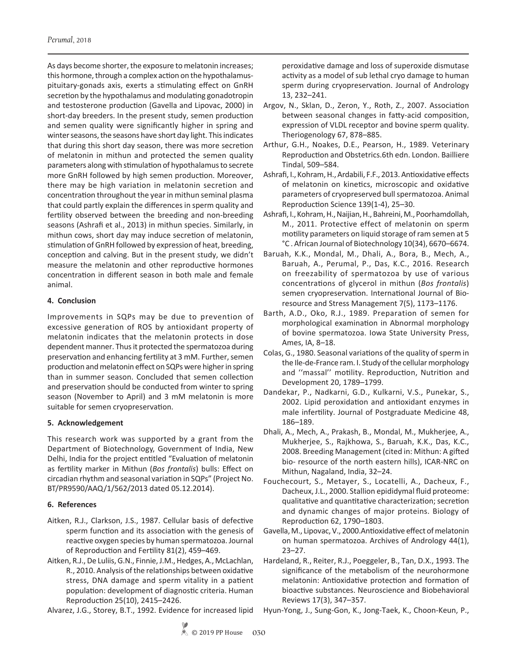As days become shorter, the exposure to melatonin increases; this hormone, through a complex action on the hypothalamuspituitary-gonads axis, exerts a stimulating effect on GnRH secretion by the hypothalamus and modulating gonadotropin and testosterone production (Gavella and Lipovac, 2000) in short-day breeders. In the present study, semen production and semen quality were significantly higher in spring and winter seasons, the seasons have short day light. This indicates that during this short day season, there was more secretion of melatonin in mithun and protected the semen quality parameters along with stimulation of hypothalamus to secrete more GnRH followed by high semen production. Moreover, there may be high variation in melatonin secretion and concentration throughout the year in mithun seminal plasma that could partly explain the differences in sperm quality and fertility observed between the breeding and non-breeding seasons (Ashrafi et al., 2013) in mithun species. Similarly, in mithun cows, short day may induce secretion of melatonin, stimulation of GnRH followed by expression of heat, breeding, conception and calving. But in the present study, we didn't measure the melatonin and other reproductive hormones concentration in different season in both male and female animal.

## **4. Conclusion**

Improvements in SQPs may be due to prevention of excessive generation of ROS by antioxidant property of melatonin indicates that the melatonin protects in dose dependent manner. Thus it protected the spermatozoa during preservation and enhancing fertility at 3 mM. Further, semen production and melatonin effect on SQPs were higher in spring than in summer season. Concluded that semen collection and preservation should be conducted from winter to spring season (November to April) and 3 mM melatonin is more suitable for semen cryopreservation.

## **5. Acknowledgement**

This research work was supported by a grant from the Department of Biotechnology, Government of India, New Delhi, India for the project entitled "Evaluation of melatonin as fertility marker in Mithun (*Bos frontalis*) bulls: Effect on circadian rhythm and seasonal variation in SQPs" (Project No. BT/PR9590/AAQ/1/562/2013 dated 05.12.2014).

# **6. References**

- Aitken, R.J., Clarkson, J.S., 1987. Cellular basis of defective sperm function and its association with the genesis of reactive oxygen species by human spermatozoa. Journal of Reproduction and Fertility 81(2), 459–469.
- Aitken, R.J., De Luliis, G.N., Finnie, J.M., Hedges, A., McLachlan, R., 2010. Analysis of the relationships between oxidative stress, DNA damage and sperm vitality in a patient population: development of diagnostic criteria. Human Reproduction 25(10), 2415–2426.
- Alvarez, J.G., Storey, B.T., 1992. Evidence for increased lipid

peroxidative damage and loss of superoxide dismutase activity as a model of sub lethal cryo damage to human sperm during cryopreservation. Journal of Andrology 13, 232–241.

- Argov, N., Sklan, D., Zeron, Y., Roth, Z., 2007. Association between seasonal changes in fatty-acid composition, expression of VLDL receptor and bovine sperm quality. Theriogenology 67, 878–885.
- Arthur, G.H., Noakes, D.E., Pearson, H., 1989. Veterinary Reproduction and Obstetrics.6th edn. London. Bailliere Tindal, 509–584.
- Ashrafi, I., Kohram, H., Ardabili, F.F., 2013. Antioxidative effects of melatonin on kinetics, microscopic and oxidative parameters of cryopreserved bull spermatozoa. Animal Reproduction Science 139(1-4), 25–30.
- Ashrafi, I., Kohram, H., Naijian, H., Bahreini, M., Poorhamdollah, M., 2011. Protective effect of melatonin on sperm motility parameters on liquid storage of ram semen at 5 °C . African Journal of Biotechnology 10(34), 6670–6674.
- Baruah, K.K., Mondal, M., Dhali, A., Bora, B., Mech, A., Baruah, A., Perumal, P., Das, K.C., 2016. Research on freezability of spermatozoa by use of various concentrations of glycerol in mithun (*Bos frontalis*) semen cryopreservation. International Journal of Bioresource and Stress Management 7(5), 1173–1176.
- Barth, A.D., Oko, R.J., 1989. Preparation of semen for morphological examination in Abnormal morphology of bovine spermatozoa. Iowa State University Press, Ames, IA, 8–18.
- Colas, G., 1980. Seasonal variations of the quality of sperm in the Ile-de-France ram. I. Study of the cellular morphology and ''massal'' motility. Reproduction, Nutrition and Development 20, 1789–1799.
- Dandekar, P., Nadkarni, G.D., Kulkarni, V.S., Punekar, S., 2002. Lipid peroxidation and antioxidant enzymes in male infertility. Journal of Postgraduate Medicine 48, 186–189.
- Dhali, A., Mech, A., Prakash, B., Mondal, M., Mukherjee, A., Mukherjee, S., Rajkhowa, S., Baruah, K.K., Das, K.C., 2008. Breeding Management (cited in: Mithun: A gifted bio- resource of the north eastern hills), ICAR-NRC on Mithun, Nagaland, India, 32–24.
- Fouchecourt, S., Metayer, S., Locatelli, A., Dacheux, F., Dacheux, J.L., 2000. Stallion epididymal fluid proteome: qualitative and quantitative characterization; secretion and dynamic changes of major proteins. Biology of Reproduction 62, 1790–1803.
- Gavella, M., Lipovac, V., 2000.Antioxidative effect of melatonin on human spermatozoa. Archives of Andrology 44(1), 23–27.
- Hardeland, R., Reiter, R.J., Poeggeler, B., Tan, D.X., 1993. The significance of the metabolism of the neurohormone melatonin: Antioxidative protection and formation of bioactive substances. Neuroscience and Biobehavioral Reviews 17(3), 347–357.
- Hyun-Yong, J., Sung-Gon, K., Jong-Taek, K., Choon-Keun, P.,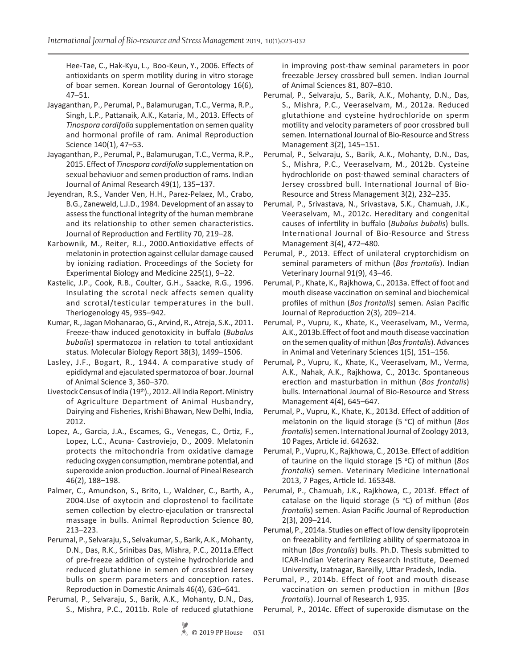Hee-Tae, C., Hak-Kyu, L., Boo-Keun, Y., 2006. Effects of antioxidants on sperm motility during in vitro storage of boar semen. Korean Journal of Gerontology 16(6), 47–51.

- Jayaganthan, P., Perumal, P., Balamurugan, T.C., Verma, R.P., Singh, L.P., Pattanaik, A.K., Kataria, M., 2013. Effects of *Tinospora cordifolia* supplementation on semen quality and hormonal profile of ram. Animal Reproduction Science 140(1), 47–53.
- Jayaganthan, P., Perumal, P., Balamurugan, T.C., Verma, R.P., 2015. Effect of *Tinospora cordifolia* supplementation on sexual behaviuor and semen production of rams. Indian Journal of Animal Research 49(1), 135–137.
- Jeyendran, R.S., Vander Ven, H.H., Parez-Pelaez, M., Crabo, B.G., Zaneweld, L.J.D., 1984. Development of an assay to assess the functional integrity of the human membrane and its relationship to other semen characteristics. Journal of Reproduction and Fertility 70, 219–28.
- Karbownik, M., Reiter, R.J., 2000.Antioxidative effects of melatonin in protection against cellular damage caused by ionizing radiation. Proceedings of the Society for Experimental Biology and Medicine 225(1), 9–22.
- Kastelic, J.P., Cook, R.B., Coulter, G.H., Saacke, R.G., 1996. Insulating the scrotal neck affects semen quality and scrotal/testicular temperatures in the bull. Theriogenology 45, 935–942.
- Kumar, R., Jagan Mohanarao, G., Arvind, R., Atreja, S.K., 2011. Freeze-thaw induced genotoxicity in buffalo (*Bubalus bubalis*) spermatozoa in relation to total antioxidant status. Molecular Biology Report 38(3), 1499–1506.
- Lasley, J.F., Bogart, R., 1944. A comparative study of epididymal and ejaculated spermatozoa of boar. Journal of Animal Science 3, 360–370.
- Livestock Census of India (19th)., 2012. All India Report. Ministry of Agriculture Department of Animal Husbandry, Dairying and Fisheries, Krishi Bhawan, New Delhi, India, 2012.
- Lopez, A., Garcia, J.A., Escames, G., Venegas, C., Ortiz, F., Lopez, L.C., Acuna- Castroviejo, D., 2009. Melatonin protects the mitochondria from oxidative damage reducing oxygen consumption, membrane potential, and superoxide anion production. Journal of Pineal Research 46(2), 188–198.
- Palmer, C., Amundson, S., Brito, L., Waldner, C., Barth, A., 2004.Use of oxytocin and cloprostenol to facilitate semen collection by electro-ejaculation or transrectal massage in bulls. Animal Reproduction Science 80, 213–223.
- Perumal, P., Selvaraju, S., Selvakumar, S., Barik, A.K., Mohanty, D.N., Das, R.K., Srinibas Das, Mishra, P.C., 2011a.Effect of pre-freeze addition of cysteine hydrochloride and reduced glutathione in semen of crossbred Jersey bulls on sperm parameters and conception rates. Reproduction in Domestic Animals 46(4), 636–641.
- Perumal, P., Selvaraju, S., Barik, A.K., Mohanty, D.N., Das, S., Mishra, P.C., 2011b. Role of reduced glutathione

in improving post-thaw seminal parameters in poor freezable Jersey crossbred bull semen. Indian Journal of Animal Sciences 81, 807–810.

- Perumal, P., Selvaraju, S., Barik, A.K., Mohanty, D.N., Das, S., Mishra, P.C., Veeraselvam, M., 2012a. Reduced glutathione and cysteine hydrochloride on sperm motility and velocity parameters of poor crossbred bull semen. International Journal of Bio-Resource and Stress Management 3(2), 145–151.
- Perumal, P., Selvaraju, S., Barik, A.K., Mohanty, D.N., Das, S., Mishra, P.C., Veeraselvam, M., 2012b. Cysteine hydrochloride on post-thawed seminal characters of Jersey crossbred bull. International Journal of Bio-Resource and Stress Management 3(2), 232–235.
- Perumal, P., Srivastava, N., Srivastava, S.K., Chamuah, J.K., Veeraselvam, M., 2012c. Hereditary and congenital causes of infertility in buffalo (*Bubalus bubalis*) bulls. International Journal of Bio-Resource and Stress Management 3(4), 472–480.
- Perumal, P., 2013. Effect of unilateral cryptorchidism on seminal parameters of mithun (*Bos frontalis*). Indian Veterinary Journal 91(9), 43–46.
- Perumal, P., Khate, K., Rajkhowa, C., 2013a. Effect of foot and mouth disease vaccination on seminal and biochemical profiles of mithun (*Bos frontalis*) semen. Asian Pacific Journal of Reproduction 2(3), 209–214.
- Perumal, P., Vupru, K., Khate, K., Veeraselvam, M., Verma, A.K., 2013b.Effect of foot and mouth disease vaccination on the semen quality of mithun (*Bos frontalis*). Advances in Animal and Veterinary Sciences 1(5), 151–156.
- Perumal**,** P., Vupru, K., Khate, K., Veeraselvam, M., Verma, A.K., Nahak, A.K., Rajkhowa, C., 2013c. Spontaneous erection and masturbation in mithun (*Bos frontalis*) bulls. International Journal of Bio-Resource and Stress Management 4(4), 645–647.
- Perumal, P., Vupru, K., Khate, K., 2013d. Effect of addition of melatonin on the liquid storage (5 °C) of mithun (Bos *frontalis*) semen. International Journal of Zoology 2013, 10 Pages, Article id. 642632.
- Perumal, P., Vupru, K., Rajkhowa, C., 2013e. Effect of addition of taurine on the liquid storage (5 °C) of mithun (Bos *frontalis*) semen. Veterinary Medicine International 2013, 7 Pages, Article Id. 165348.
- Perumal, P., Chamuah, J.K., Rajkhowa, C., 2013f. Effect of catalase on the liquid storage (5 °C) of mithun (Bos *frontalis*) semen. Asian Pacific Journal of Reproduction 2(3), 209–214.
- Perumal, P., 2014a. Studies on effect of low density lipoprotein on freezability and fertilizing ability of spermatozoa in mithun (*Bos frontalis*) bulls. Ph.D. Thesis submitted to ICAR-Indian Veterinary Research Institute, Deemed University, Izatnagar, Bareilly, Uttar Pradesh, India.
- Perumal, P., 2014b. Effect of foot and mouth disease vaccination on semen production in mithun (*Bos frontalis*). Journal of Research 1, 935.
- Perumal, P., 2014c. Effect of superoxide dismutase on the